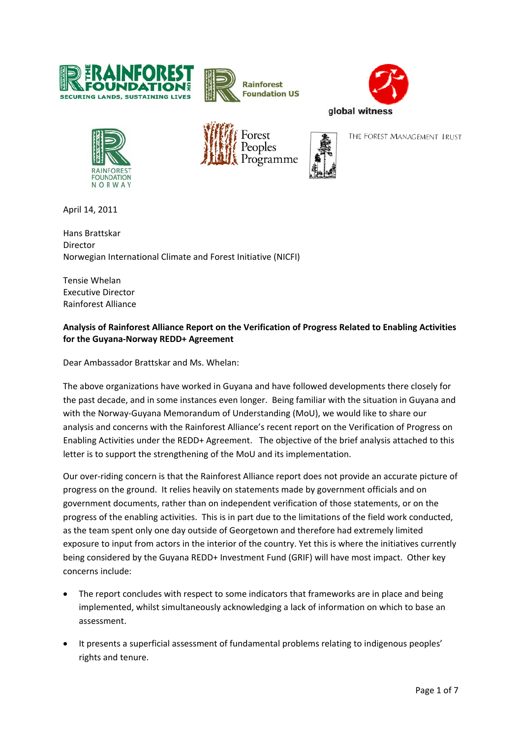











THE FOREST MANAGEMENT TRUST

April 14, 2011

Hans Brattskar Director Norwegian International Climate and Forest Initiative (NICFI)

Tensie Whelan Executive Director Rainforest Alliance

## **Analysis of Rainforest Alliance Report on the Verification of Progress Related to Enabling Activities for the Guyana‐Norway REDD+ Agreement**

Dear Ambassador Brattskar and Ms. Whelan:

The above organizations have worked in Guyana and have followed developments there closely for the past decade, and in some instances even longer. Being familiar with the situation in Guyana and with the Norway-Guyana Memorandum of Understanding (MoU), we would like to share our analysis and concerns with the Rainforest Alliance's recent report on the Verification of Progress on Enabling Activities under the REDD+ Agreement. The objective of the brief analysis attached to this letter is to support the strengthening of the MoU and its implementation.

Our over‐riding concern is that the Rainforest Alliance report does not provide an accurate picture of progress on the ground. It relies heavily on statements made by government officials and on government documents, rather than on independent verification of those statements, or on the progress of the enabling activities. This is in part due to the limitations of the field work conducted, as the team spent only one day outside of Georgetown and therefore had extremely limited exposure to input from actors in the interior of the country. Yet this is where the initiatives currently being considered by the Guyana REDD+ Investment Fund (GRIF) will have most impact. Other key concerns include:

- The report concludes with respect to some indicators that frameworks are in place and being implemented, whilst simultaneously acknowledging a lack of information on which to base an assessment.
- It presents a superficial assessment of fundamental problems relating to indigenous peoples' rights and tenure.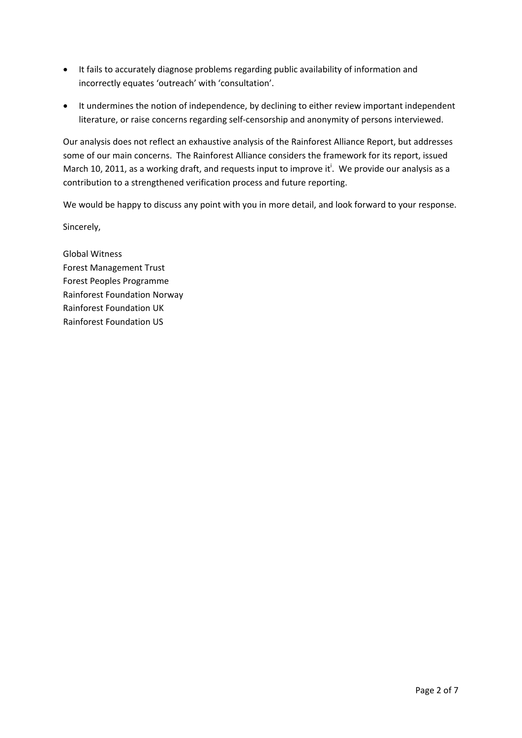- It fails to accurately diagnose problems regarding public availability of information and incorrectly equates 'outreach' with 'consultation'.
- It undermines the notion of independence, by declining to either review important independent literature, or raise concerns regarding self‐censorship and anonymity of persons interviewed.

Our analysis does not reflect an exhaustive analysis of the Rainforest Alliance Report, but addresses some of our main concerns. The Rainforest Alliance considers the framework for its report, issued March 10, 2011, as a working draft, and requests input to improve it<sup>i</sup>. We provide our analysis as a contribution to a strengthened verification process and future reporting.

We would be happy to discuss any point with you in more detail, and look forward to your response.

Sincerely,

Global Witness Forest Management Trust Forest Peoples Programme Rainforest Foundation Norway Rainforest Foundation UK Rainforest Foundation US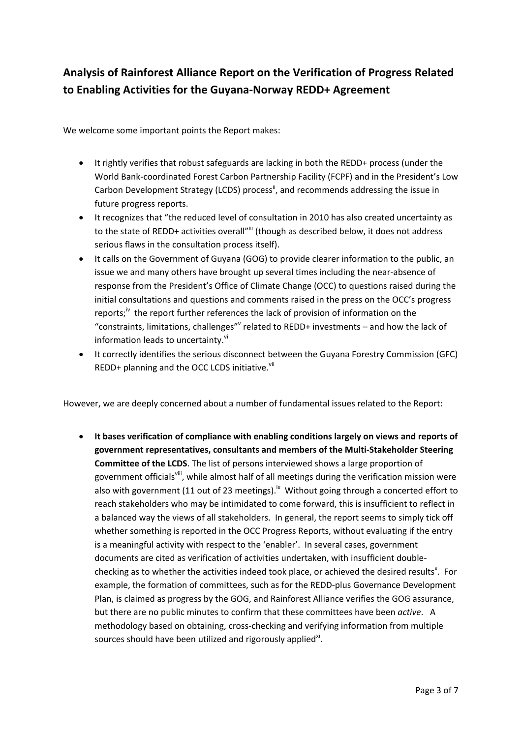## **Analysis of Rainforest Alliance Report on the Verification of Progress Related to Enabling Activities for the Guyana‐Norway REDD+ Agreement**

We welcome some important points the Report makes:

- It rightly verifies that robust safeguards are lacking in both the REDD+ process (under the World Bank‐coordinated Forest Carbon Partnership Facility (FCPF) and in the President's Low Carbon Development Strategy (LCDS) process<sup>ii</sup>, and recommends addressing the issue in future progress reports.
- It recognizes that "the reduced level of consultation in 2010 has also created uncertainty as to the state of REDD+ activities overall"iii (though as described below, it does not address serious flaws in the consultation process itself).
- It calls on the Government of Guyana (GOG) to provide clearer information to the public, an issue we and many others have brought up several times including the near‐absence of response from the President's Office of Climate Change (OCC) to questions raised during the initial consultations and questions and comments raised in the press on the OCC's progress reports;<sup>iv</sup> the report further references the lack of provision of information on the "constraints, limitations, challenges" related to REDD+ investments – and how the lack of information leads to uncertainty.<sup>vi</sup>
- It correctly identifies the serious disconnect between the Guyana Forestry Commission (GFC) REDD+ planning and the OCC LCDS initiative.<sup>vii</sup>

However, we are deeply concerned about a number of fundamental issues related to the Report:

 **It bases verification of compliance with enabling conditions largely on views and reports of government representatives, consultants and members of the Multi‐Stakeholder Steering Committee of the LCDS**. The list of persons interviewed shows a large proportion of government officials<sup>viii</sup>, while almost half of all meetings during the verification mission were also with government (11 out of 23 meetings).<sup>ix</sup> Without going through a concerted effort to reach stakeholders who may be intimidated to come forward, this is insufficient to reflect in a balanced way the views of all stakeholders. In general, the report seems to simply tick off whether something is reported in the OCC Progress Reports, without evaluating if the entry is a meaningful activity with respect to the 'enabler'. In several cases, government documents are cited as verification of activities undertaken, with insufficient double‐ checking as to whether the activities indeed took place, or achieved the desired results<sup>x</sup>. For example, the formation of committees, such as for the REDD-plus Governance Development Plan, is claimed as progress by the GOG, and Rainforest Alliance verifies the GOG assurance, but there are no public minutes to confirm that these committees have been *active*. A methodology based on obtaining, cross‐checking and verifying information from multiple sources should have been utilized and rigorously applied ${}^{\text{xi}}$ .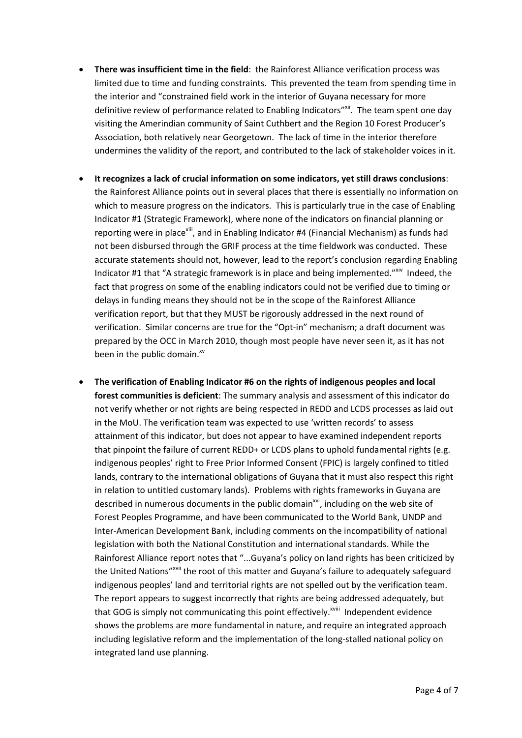- **There was insufficient time in the field**: the Rainforest Alliance verification process was limited due to time and funding constraints. This prevented the team from spending time in the interior and "constrained field work in the interior of Guyana necessary for more definitive review of performance related to Enabling Indicators"<sup>xii</sup>. The team spent one day visiting the Amerindian community of Saint Cuthbert and the Region 10 Forest Producer's Association, both relatively near Georgetown. The lack of time in the interior therefore undermines the validity of the report, and contributed to the lack of stakeholder voices in it.
- **It recognizes a lack of crucial information on some indicators, yet still draws conclusions**: the Rainforest Alliance points out in several places that there is essentially no information on which to measure progress on the indicators. This is particularly true in the case of Enabling Indicator #1 (Strategic Framework), where none of the indicators on financial planning or reporting were in place<sup>xiii</sup>, and in Enabling Indicator #4 (Financial Mechanism) as funds had not been disbursed through the GRIF process at the time fieldwork was conducted. These accurate statements should not, however, lead to the report's conclusion regarding Enabling Indicator #1 that "A strategic framework is in place and being implemented."<sup>xiv</sup> Indeed, the fact that progress on some of the enabling indicators could not be verified due to timing or delays in funding means they should not be in the scope of the Rainforest Alliance verification report, but that they MUST be rigorously addressed in the next round of verification. Similar concerns are true for the "Opt‐in" mechanism; a draft document was prepared by the OCC in March 2010, though most people have never seen it, as it has not been in the public domain.<sup>xv</sup>
- **The verification of Enabling Indicator #6 on the rights of indigenous peoples and local forest communities is deficient**: The summary analysis and assessment of this indicator do not verify whether or not rights are being respected in REDD and LCDS processes as laid out in the MoU. The verification team was expected to use 'written records' to assess attainment of this indicator, but does not appear to have examined independent reports that pinpoint the failure of current REDD+ or LCDS plans to uphold fundamental rights (e.g. indigenous peoples' right to Free Prior Informed Consent (FPIC) is largely confined to titled lands, contrary to the international obligations of Guyana that it must also respect this right in relation to untitled customary lands). Problems with rights frameworks in Guyana are described in numerous documents in the public domain<sup>xvi</sup>, including on the web site of Forest Peoples Programme, and have been communicated to the World Bank, UNDP and Inter‐American Development Bank, including comments on the incompatibility of national legislation with both the National Constitution and international standards. While the Rainforest Alliance report notes that "...Guyana's policy on land rights has been criticized by the United Nations"<sup>xvii</sup> the root of this matter and Guyana's failure to adequately safeguard indigenous peoples' land and territorial rights are not spelled out by the verification team. The report appears to suggest incorrectly that rights are being addressed adequately, but that GOG is simply not communicating this point effectively.<sup>xviii</sup> Independent evidence shows the problems are more fundamental in nature, and require an integrated approach including legislative reform and the implementation of the long‐stalled national policy on integrated land use planning.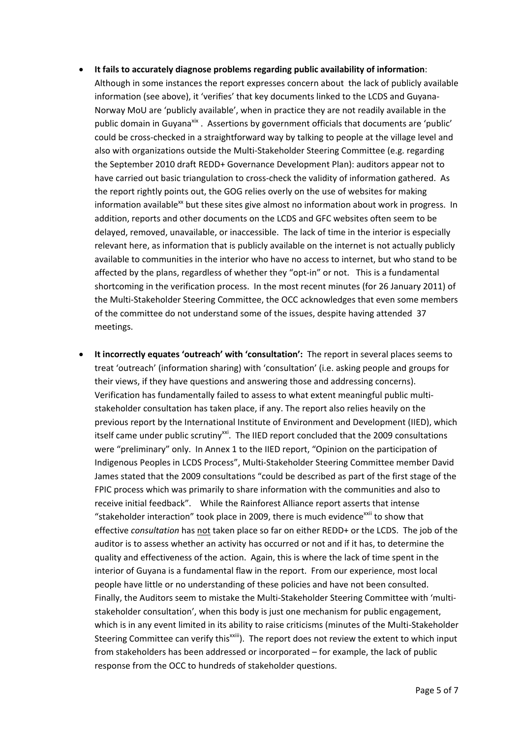- **It fails to accurately diagnose problems regarding public availability of information**:
	- Although in some instances the report expresses concern about the lack of publicly available information (see above), it 'verifies' that key documents linked to the LCDS and Guyana‐ Norway MoU are 'publicly available', when in practice they are not readily available in the public domain in Guyana<sup>xix</sup>. Assertions by government officials that documents are 'public' could be cross‐checked in a straightforward way by talking to people at the village level and also with organizations outside the Multi‐Stakeholder Steering Committee (e.g. regarding the September 2010 draft REDD+ Governance Development Plan): auditors appear not to have carried out basic triangulation to cross-check the validity of information gathered. As the report rightly points out, the GOG relies overly on the use of websites for making information available<sup>xx</sup> but these sites give almost no information about work in progress. In addition, reports and other documents on the LCDS and GFC websites often seem to be delayed, removed, unavailable, or inaccessible. The lack of time in the interior is especially relevant here, as information that is publicly available on the internet is not actually publicly available to communities in the interior who have no access to internet, but who stand to be affected by the plans, regardless of whether they "opt-in" or not. This is a fundamental shortcoming in the verification process. In the most recent minutes (for 26 January 2011) of the Multi‐Stakeholder Steering Committee, the OCC acknowledges that even some members of the committee do not understand some of the issues, despite having attended 37 meetings.
- **It incorrectly equates 'outreach' with 'consultation':** The report in several places seems to treat 'outreach' (information sharing) with 'consultation' (i.e. asking people and groups for their views, if they have questions and answering those and addressing concerns). Verification has fundamentally failed to assess to what extent meaningful public multi‐ stakeholder consultation has taken place, if any. The report also relies heavily on the previous report by the International Institute of Environment and Development (IIED), which itself came under public scrutiny<sup>xxi</sup>. The IIED report concluded that the 2009 consultations were "preliminary" only. In Annex 1 to the IIED report, "Opinion on the participation of Indigenous Peoples in LCDS Process", Multi‐Stakeholder Steering Committee member David James stated that the 2009 consultations "could be described as part of the first stage of the FPIC process which was primarily to share information with the communities and also to receive initial feedback". While the Rainforest Alliance report asserts that intense "stakeholder interaction" took place in 2009, there is much evidence $^{xxii}$  to show that effective *consultation* has not taken place so far on either REDD+ or the LCDS. The job of the auditor is to assess whether an activity has occurred or not and if it has, to determine the quality and effectiveness of the action. Again, this is where the lack of time spent in the interior of Guyana is a fundamental flaw in the report. From our experience, most local people have little or no understanding of these policies and have not been consulted. Finally, the Auditors seem to mistake the Multi‐Stakeholder Steering Committee with 'multi‐ stakeholder consultation', when this body is just one mechanism for public engagement, which is in any event limited in its ability to raise criticisms (minutes of the Multi‐Stakeholder Steering Committee can verify this<sup>xxiii</sup>). The report does not review the extent to which input from stakeholders has been addressed or incorporated – for example, the lack of public response from the OCC to hundreds of stakeholder questions.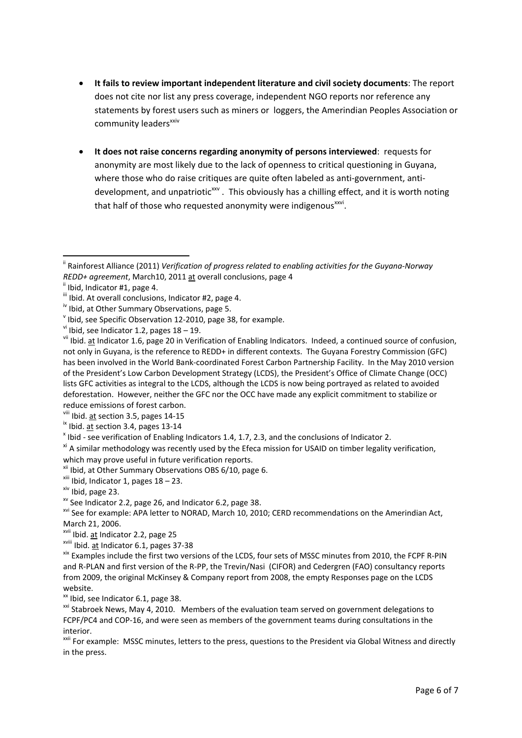- **It fails to review important independent literature and civil society documents**: The report does not cite nor list any press coverage, independent NGO reports nor reference any statements by forest users such as miners or loggers, the Amerindian Peoples Association or community leaders<sup>xxiv</sup>
- **It does not raise concerns regarding anonymity of persons interviewed**: requests for anonymity are most likely due to the lack of openness to critical questioning in Guyana, where those who do raise critiques are quite often labeled as anti-government, antidevelopment, and unpatriotic<sup>xxv</sup>. This obviously has a chilling effect, and it is worth noting that half of those who requested anonymity were indigenous $x_{0}$ .

ii Rainforest Alliance (2011) *Verification of progress related to enabling activities for the Guyana‐Norway* REDD+ agreement, March10, 2011 <u>at</u> overall conclusions, page 4<br>
"Ibid, Indicator #1, page 4.<br>
"Ibid. At overall conclusions, Indicator #2, page 4.<br>
"Ibid, at Other Summary Observations, page 5.<br>
"Ibid, see Specific Obser

not only in Guyana, is the reference to REDD+ in different contexts. The Guyana Forestry Commission (GFC) has been involved in the World Bank‐coordinated Forest Carbon Partnership Facility. In the May 2010 version of the President's Low Carbon Development Strategy (LCDS), the President's Office of Climate Change (OCC) lists GFC activities as integral to the LCDS, although the LCDS is now being portrayed as related to avoided deforestation. However, neither the GFC nor the OCC have made any explicit commitment to stabilize or reduce emissions of forest carbon. viii Ibid. at section 3.5, pages <sup>14</sup>‐<sup>15</sup> ix Ibid. at section 3.4, pages <sup>13</sup>‐<sup>14</sup> <sup>x</sup> Ibid ‐ see verification of Enabling Indicators 1.4, 1.7, 2.3, and the conclusions of Indicator 2.

<sup>&</sup>lt;sup>xi</sup> A similar methodology was recently used by the Efeca mission for USAID on timber legality verification, which may prove useful in future verification reports.<br>
<sup>xii</sup> Ibid, at Other Summary Observations OBS 6/10, page 6.<br>
<sup>xii</sup> Ibid, Indicator 1, pages 18 – 23.<br>
<sup>xv</sup> See Indicator 2.2, page 26, and Indicator 6.2, page 38.<br>
<sup></sup>

March 21, 2006.<br><sup>xvii</sup> Ibid. <u>at</u> Indicator 2.2, page 25<br><sup>xvii</sup> Ibid. <u>at</u> Indicator 6.1, pages 37‐38<br><sup>xix</sup> Examples include the first two versions of the LCDS, four sets of MSSC minutes from 2010, the FCPF R‐PIN and R-PLAN and first version of the R-PP, the Trevin/Nasi (CIFOR) and Cedergren (FAO) consultancy reports from 2009, the original McKinsey & Company report from 2008, the empty Responses page on the LCDS website.<br>
<sup>xx</sup> Ibid, see Indicator 6.1, page 38.

<sup>&</sup>lt;sup>xxi</sup> Stabroek News, May 4, 2010. Members of the evaluation team served on government delegations to FCPF/PC4 and COP‐16, and were seen as members of the government teams during consultations in the interior.

<sup>&</sup>lt;sup>xxii</sup> For example: MSSC minutes, letters to the press, questions to the President via Global Witness and directly in the press.